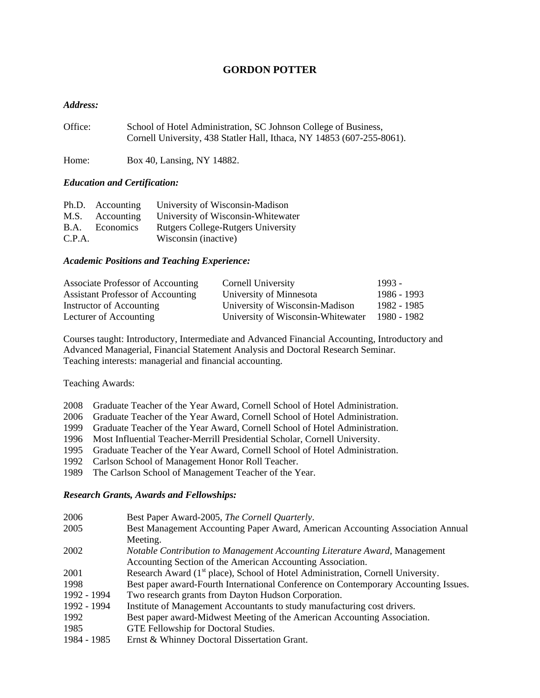# **GORDON POTTER**

### *Address:*

| Office: | School of Hotel Administration, SC Johnson College of Business,        |
|---------|------------------------------------------------------------------------|
|         | Cornell University, 438 Statler Hall, Ithaca, NY 14853 (607-255-8061). |

Home: Box 40, Lansing, NY 14882.

### *Education and Certification:*

|             | Ph.D. Accounting | University of Wisconsin-Madison           |
|-------------|------------------|-------------------------------------------|
|             | M.S. Accounting  | University of Wisconsin-Whitewater        |
| <b>B.A.</b> | Economics        | <b>Rutgers College-Rutgers University</b> |
| C.P.A.      |                  | Wisconsin (inactive)                      |

### *Academic Positions and Teaching Experience:*

| Associate Professor of Accounting | Cornell University                 | 1993 -      |
|-----------------------------------|------------------------------------|-------------|
| Assistant Professor of Accounting | University of Minnesota            | 1986 - 1993 |
| Instructor of Accounting          | University of Wisconsin-Madison    | 1982 - 1985 |
| Lecturer of Accounting            | University of Wisconsin-Whitewater | 1980 - 1982 |

Courses taught: Introductory, Intermediate and Advanced Financial Accounting, Introductory and Advanced Managerial, Financial Statement Analysis and Doctoral Research Seminar. Teaching interests: managerial and financial accounting.

Teaching Awards:

|  |  |  |  |  |  | 2008 Graduate Teacher of the Year Award, Cornell School of Hotel Administration. |
|--|--|--|--|--|--|----------------------------------------------------------------------------------|
|--|--|--|--|--|--|----------------------------------------------------------------------------------|

- 2006 Graduate Teacher of the Year Award, Cornell School of Hotel Administration.
- 1999 Graduate Teacher of the Year Award, Cornell School of Hotel Administration.
- 1996 Most Influential Teacher-Merrill Presidential Scholar, Cornell University.
- 1995 Graduate Teacher of the Year Award, Cornell School of Hotel Administration.
- 1992 Carlson School of Management Honor Roll Teacher.
- 1989 The Carlson School of Management Teacher of the Year.

## *Research Grants, Awards and Fellowships:*

| 2006        | Best Paper Award-2005, The Cornell Quarterly.                                               |
|-------------|---------------------------------------------------------------------------------------------|
| 2005        | Best Management Accounting Paper Award, American Accounting Association Annual              |
|             | Meeting.                                                                                    |
| 2002        | Notable Contribution to Management Accounting Literature Award, Management                  |
|             | Accounting Section of the American Accounting Association.                                  |
| 2001        | Research Award (1 <sup>st</sup> place), School of Hotel Administration, Cornell University. |
| 1998        | Best paper award-Fourth International Conference on Contemporary Accounting Issues.         |
| 1992 - 1994 | Two research grants from Dayton Hudson Corporation.                                         |
| 1992 - 1994 | Institute of Management Accountants to study manufacturing cost drivers.                    |
| 1992        | Best paper award-Midwest Meeting of the American Accounting Association.                    |
| 1985        | GTE Fellowship for Doctoral Studies.                                                        |
| 1984 - 1985 | Ernst & Whinney Doctoral Dissertation Grant.                                                |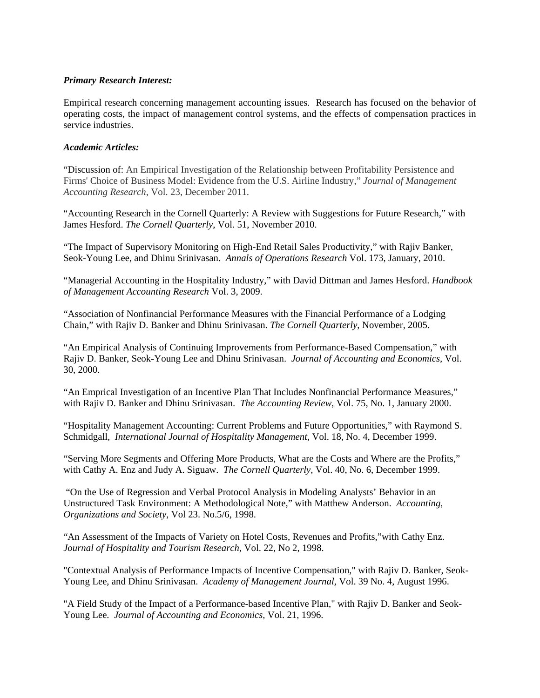## *Primary Research Interest:*

Empirical research concerning management accounting issues. Research has focused on the behavior of operating costs, the impact of management control systems, and the effects of compensation practices in service industries.

## *Academic Articles:*

"Discussion of: An Empirical Investigation of the Relationship between Profitability Persistence and Firms' Choice of Business Model: Evidence from the U.S. Airline Industry," *Journal of Management Accounting Research*, Vol. 23, December 2011.

"Accounting Research in the Cornell Quarterly: A Review with Suggestions for Future Research," with James Hesford. *The Cornell Quarterly*, Vol. 51, November 2010.

"The Impact of Supervisory Monitoring on High-End Retail Sales Productivity," with Rajiv Banker, Seok-Young Lee, and Dhinu Srinivasan. *Annals of Operations Research* Vol. 173, January, 2010.

"Managerial Accounting in the Hospitality Industry," with David Dittman and James Hesford. *Handbook of Management Accounting Research* Vol. 3, 2009.

"Association of Nonfinancial Performance Measures with the Financial Performance of a Lodging Chain," with Rajiv D. Banker and Dhinu Srinivasan. *The Cornell Quarterly*, November, 2005.

"An Empirical Analysis of Continuing Improvements from Performance-Based Compensation," with Rajiv D. Banker, Seok-Young Lee and Dhinu Srinivasan. *Journal of Accounting and Economics,* Vol. 30, 2000.

"An Emprical Investigation of an Incentive Plan That Includes Nonfinancial Performance Measures," with Rajiv D. Banker and Dhinu Srinivasan. *The Accounting Review*, Vol. 75, No. 1, January 2000.

"Hospitality Management Accounting: Current Problems and Future Opportunities," with Raymond S. Schmidgall*, International Journal of Hospitality Management,* Vol. 18, No. 4, December 1999.

"Serving More Segments and Offering More Products, What are the Costs and Where are the Profits," with Cathy A. Enz and Judy A. Siguaw. *The Cornell Quarterly*, Vol. 40, No. 6, December 1999.

"On the Use of Regression and Verbal Protocol Analysis in Modeling Analysts' Behavior in an Unstructured Task Environment: A Methodological Note," with Matthew Anderson. *Accounting, Organizations and Society,* Vol 23. No.5/6, 1998.

"An Assessment of the Impacts of Variety on Hotel Costs, Revenues and Profits,"with Cathy Enz. *Journal of Hospitality and Tourism Research,* Vol. 22, No 2, 1998.

"Contextual Analysis of Performance Impacts of Incentive Compensation," with Rajiv D. Banker, Seok-Young Lee, and Dhinu Srinivasan. *Academy of Management Journal,* Vol. 39 No. 4, August 1996.

"A Field Study of the Impact of a Performance-based Incentive Plan," with Rajiv D. Banker and Seok-Young Lee. *Journal of Accounting and Economics,* Vol. 21, 1996.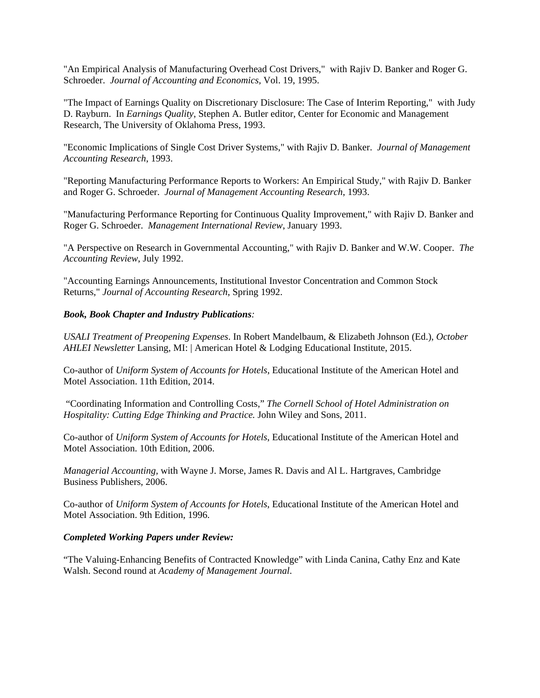"An Empirical Analysis of Manufacturing Overhead Cost Drivers," with Rajiv D. Banker and Roger G. Schroeder. *Journal of Accounting and Economics,* Vol. 19, 1995.

"The Impact of Earnings Quality on Discretionary Disclosure: The Case of Interim Reporting," with Judy D. Rayburn. In *Earnings Quality*, Stephen A. Butler editor, Center for Economic and Management Research, The University of Oklahoma Press, 1993.

"Economic Implications of Single Cost Driver Systems," with Rajiv D. Banker. *Journal of Management Accounting Research*, 1993.

"Reporting Manufacturing Performance Reports to Workers: An Empirical Study," with Rajiv D. Banker and Roger G. Schroeder. *Journal of Management Accounting Research*, 1993.

"Manufacturing Performance Reporting for Continuous Quality Improvement," with Rajiv D. Banker and Roger G. Schroeder. *Management International Review*, January 1993.

"A Perspective on Research in Governmental Accounting," with Rajiv D. Banker and W.W. Cooper. *The Accounting Review*, July 1992.

"Accounting Earnings Announcements, Institutional Investor Concentration and Common Stock Returns," *Journal of Accounting Research*, Spring 1992.

### *Book, Book Chapter and Industry Publications:*

*USALI Treatment of Preopening Expenses*. In Robert Mandelbaum, & Elizabeth Johnson (Ed.), *October AHLEI Newsletter* Lansing, MI: | American Hotel & Lodging Educational Institute, 2015.

Co-author of *Uniform System of Accounts for Hotels*, Educational Institute of the American Hotel and Motel Association. 11th Edition, 2014.

"Coordinating Information and Controlling Costs," *The Cornell School of Hotel Administration on Hospitality: Cutting Edge Thinking and Practice.* John Wiley and Sons, 2011.

Co-author of *Uniform System of Accounts for Hotels*, Educational Institute of the American Hotel and Motel Association. 10th Edition, 2006.

*Managerial Accounting*, with Wayne J. Morse, James R. Davis and Al L. Hartgraves, Cambridge Business Publishers, 2006.

Co-author of *Uniform System of Accounts for Hotels*, Educational Institute of the American Hotel and Motel Association. 9th Edition, 1996.

#### *Completed Working Papers under Review:*

"The Valuing-Enhancing Benefits of Contracted Knowledge" with Linda Canina, Cathy Enz and Kate Walsh. Second round at *Academy of Management Journal*.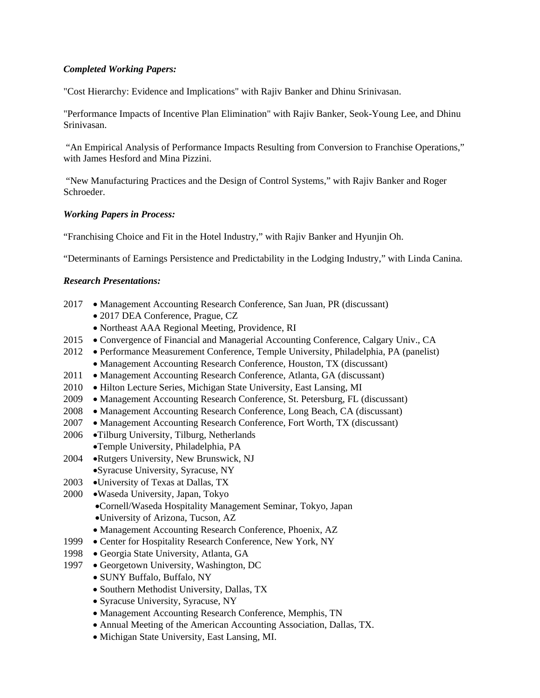## *Completed Working Papers:*

"Cost Hierarchy: Evidence and Implications" with Rajiv Banker and Dhinu Srinivasan.

"Performance Impacts of Incentive Plan Elimination" with Rajiv Banker, Seok-Young Lee, and Dhinu Srinivasan.

"An Empirical Analysis of Performance Impacts Resulting from Conversion to Franchise Operations," with James Hesford and Mina Pizzini.

"New Manufacturing Practices and the Design of Control Systems," with Rajiv Banker and Roger Schroeder.

## *Working Papers in Process:*

"Franchising Choice and Fit in the Hotel Industry," with Rajiv Banker and Hyunjin Oh.

"Determinants of Earnings Persistence and Predictability in the Lodging Industry," with Linda Canina.

## *Research Presentations:*

- 2017 Management Accounting Research Conference, San Juan, PR (discussant)
	- 2017 DEA Conference, Prague, CZ
	- Northeast AAA Regional Meeting, Providence, RI
- 2015 Convergence of Financial and Managerial Accounting Conference, Calgary Univ., CA
- 2012 Performance Measurement Conference, Temple University, Philadelphia, PA (panelist) • Management Accounting Research Conference, Houston, TX (discussant)
	-
- 2011 Management Accounting Research Conference, Atlanta, GA (discussant)
- 2010 Hilton Lecture Series, Michigan State University, East Lansing, MI
- 2009 Management Accounting Research Conference, St. Petersburg, FL (discussant)
- 2008 Management Accounting Research Conference, Long Beach, CA (discussant)
- 2007 Management Accounting Research Conference, Fort Worth, TX (discussant)
- 2006 •Tilburg University, Tilburg, Netherlands •Temple University, Philadelphia, PA
- 2004 •Rutgers University, New Brunswick, NJ •Syracuse University, Syracuse, NY
- 2003 •University of Texas at Dallas, TX
- 2000 •Waseda University, Japan, Tokyo
	- •Cornell/Waseda Hospitality Management Seminar, Tokyo, Japan •University of Arizona, Tucson, AZ
	- Management Accounting Research Conference, Phoenix, AZ
- 1999 Center for Hospitality Research Conference, New York, NY
- 1998 Georgia State University, Atlanta, GA
- 1997 Georgetown University, Washington, DC
	- SUNY Buffalo, Buffalo, NY
		- Southern Methodist University, Dallas, TX
		- Syracuse University, Syracuse, NY
		- Management Accounting Research Conference, Memphis, TN
		- Annual Meeting of the American Accounting Association, Dallas, TX.
		- Michigan State University, East Lansing, MI.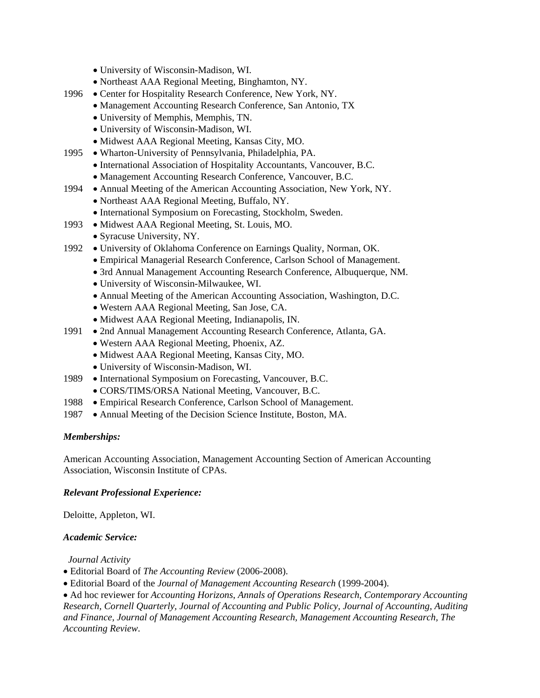- University of Wisconsin-Madison, WI.
- Northeast AAA Regional Meeting, Binghamton, NY.
- 1996 Center for Hospitality Research Conference, New York, NY.
	- Management Accounting Research Conference, San Antonio, TX
	- University of Memphis, Memphis, TN.
	- University of Wisconsin-Madison, WI.
	- Midwest AAA Regional Meeting, Kansas City, MO.
- 1995 Wharton-University of Pennsylvania, Philadelphia, PA.
	- International Association of Hospitality Accountants, Vancouver, B.C.
	- Management Accounting Research Conference, Vancouver, B.C.
- 1994 Annual Meeting of the American Accounting Association, New York, NY.
	- Northeast AAA Regional Meeting, Buffalo, NY.
	- International Symposium on Forecasting, Stockholm, Sweden.
- 1993 Midwest AAA Regional Meeting, St. Louis, MO.
	- Syracuse University, NY.
- 1992 University of Oklahoma Conference on Earnings Quality, Norman, OK.
	- Empirical Managerial Research Conference, Carlson School of Management.
	- 3rd Annual Management Accounting Research Conference, Albuquerque, NM.
	- University of Wisconsin-Milwaukee, WI.
	- Annual Meeting of the American Accounting Association, Washington, D.C.
	- Western AAA Regional Meeting, San Jose, CA.
	- Midwest AAA Regional Meeting, Indianapolis, IN.
- 1991 2nd Annual Management Accounting Research Conference, Atlanta, GA.
	- Western AAA Regional Meeting, Phoenix, AZ.
	- Midwest AAA Regional Meeting, Kansas City, MO.
	- University of Wisconsin-Madison, WI.
- 1989 International Symposium on Forecasting, Vancouver, B.C.
	- CORS/TIMS/ORSA National Meeting, Vancouver, B.C.
- 1988 Empirical Research Conference, Carlson School of Management.
- 1987 Annual Meeting of the Decision Science Institute, Boston, MA.

## *Memberships:*

American Accounting Association, Management Accounting Section of American Accounting Association, Wisconsin Institute of CPAs.

## *Relevant Professional Experience:*

Deloitte, Appleton, WI.

## *Academic Service:*

 *Journal Activity*

- Editorial Board of *The Accounting Review* (2006-2008).
- Editorial Board of the *Journal of Management Accounting Research* (1999-2004).

• Ad hoc reviewer for *Accounting Horizons*, *Annals of Operations Research*, *Contemporary Accounting Research, Cornell Quarterly, Journal of Accounting and Public Policy, Journal of Accounting, Auditing and Finance, Journal of Management Accounting Research, Management Accounting Research, The Accounting Review*.